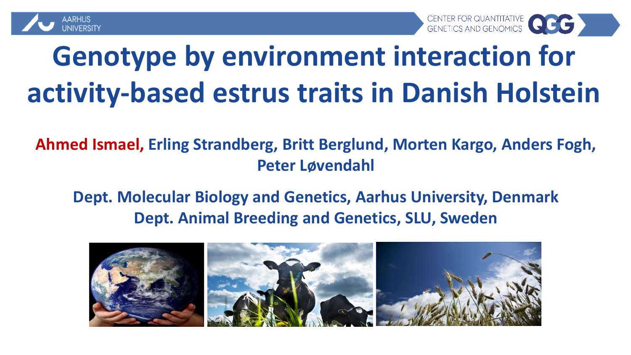



## **Genotype by environment interaction for activity-based estrus traits in Danish Holstein**

**Ahmed Ismael, Erling Strandberg, Britt Berglund, Morten Kargo, Anders Fogh, Peter Løvendahl**

#### **Dept. Molecular Biology and Genetics, Aarhus University, Denmark Dept. Animal Breeding and Genetics, SLU, Sweden**

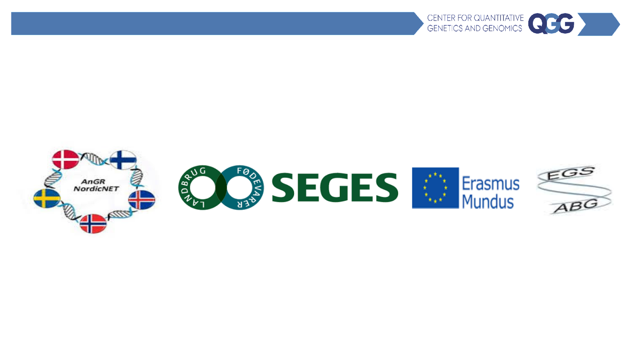

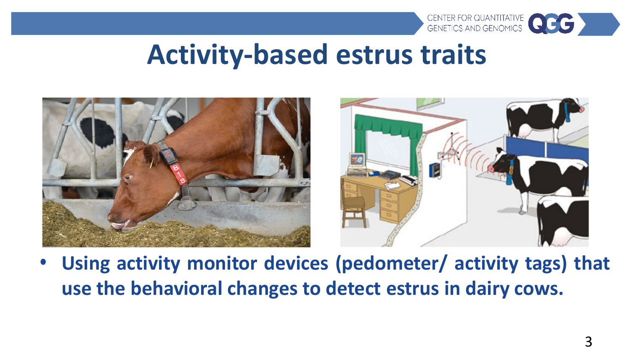

#### **Activity-based estrus traits**



• **Using activity monitor devices (pedometer/ activity tags) that use the behavioral changes to detect estrus in dairy cows.**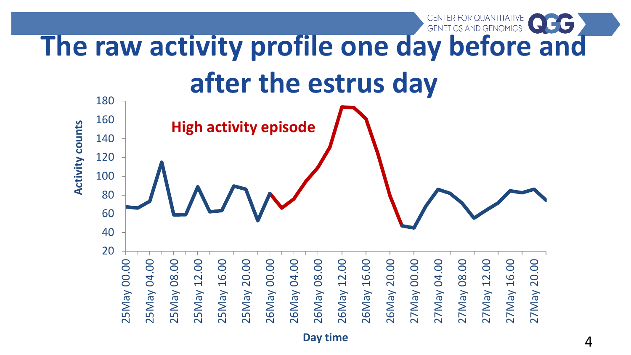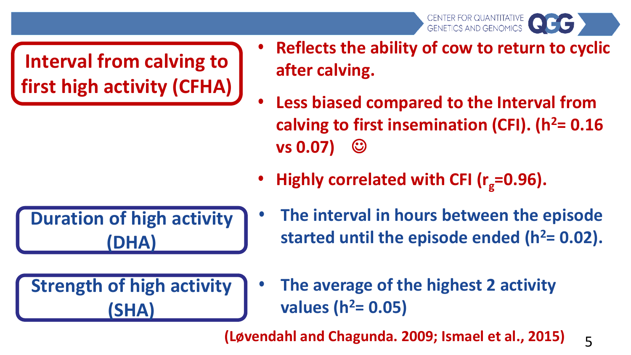CENTER FOR QUANTITATIVE CHETICS AND GENOMICS

**Interval from calving to first high activity (CFHA)** 

- **Reflects the ability of cow to return to cyclic after calving.**
- **Less biased compared to the Interval from**  calving to first insemination (CFI). (h<sup>2</sup>= 0.16 **vs 0.07)**
- Highly correlated with CFI (r<sub>g</sub>=0.96).

**Duration of high activity (DHA)** 

**Strength of high activity (SHA)** 

- **The interval in hours between the episode**  started until the episode ended  $(h^2= 0.02)$ .
- **The average of the highest 2 activity values (h2= 0.05)**

**(Løvendahl and Chagunda. 2009; Ismael et al., 2015)**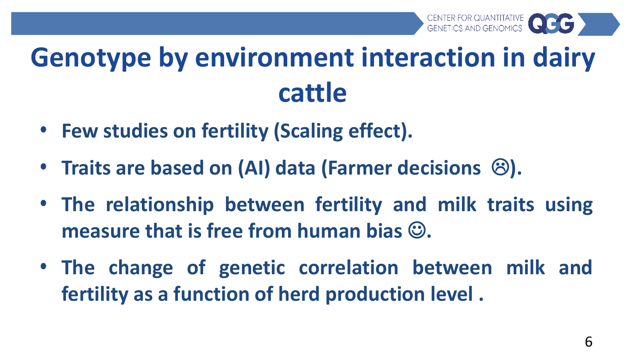

### **Genotype by environment interaction in dairy cattle**

- **Few studies on fertility (Scaling effect).**
- **Traits are based on (AI) data (Farmer decisions ).**
- **The relationship between fertility and milk traits using measure that is free from human bias .**
- **The change of genetic correlation between milk and fertility as a function of herd production level .**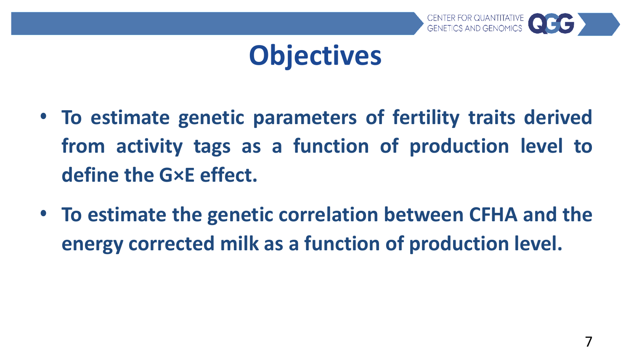

### **Objectives**

- **To estimate genetic parameters of fertility traits derived from activity tags as a function of production level to define the G×E effect.**
- **To estimate the genetic correlation between CFHA and the energy corrected milk as a function of production level.**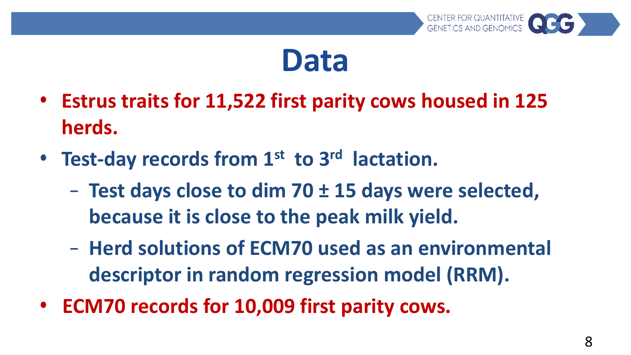

### **Data**

- **Estrus traits for 11,522 first parity cows housed in 125 herds.**
- **Test-day records from 1st to 3rd lactation.**
	- **Test days close to dim 70 ± 15 days were selected, because it is close to the peak milk yield.**
	- **Herd solutions of ECM70 used as an environmental descriptor in random regression model (RRM).**
- **ECM70 records for 10,009 first parity cows.**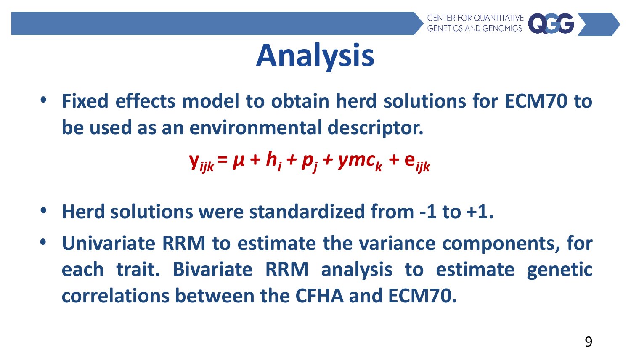

# **Analysis**

• **Fixed effects model to obtain herd solutions for ECM70 to be used as an environmental descriptor.**

*y*<sub>*iik*</sub> =  $\mu$  +  $h$ <sup>*i*</sup> +  $p$ <sup>*j*</sup> +  $ymc$ <sup>*k*</sup> +  $e$ *iik* 

- **Herd solutions were standardized from -1 to +1.**
- **Univariate RRM to estimate the variance components, for each trait. Bivariate RRM analysis to estimate genetic correlations between the CFHA and ECM70.**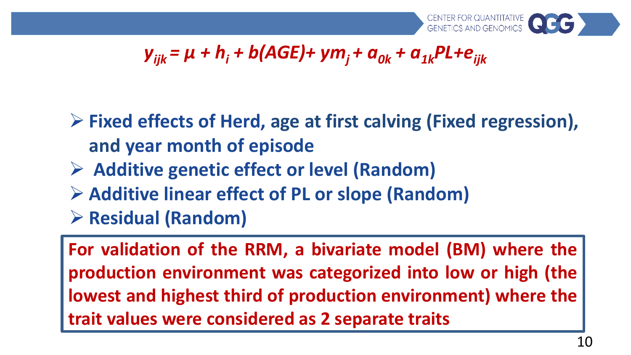

#### $y_{ijk} = \mu + h_i + b(AGE) + ym_i + a_{0k} + a_{1k}PL + e_{ijk}$

 **Fixed effects of Herd, age at first calving (Fixed regression), and year month of episode**

- **Additive genetic effect or level (Random)**
- **Additive linear effect of PL or slope (Random)**
- **Residual (Random)**

**For validation of the RRM, a bivariate model (BM) where the production environment was categorized into low or high (the lowest and highest third of production environment) where the trait values were considered as 2 separate traits**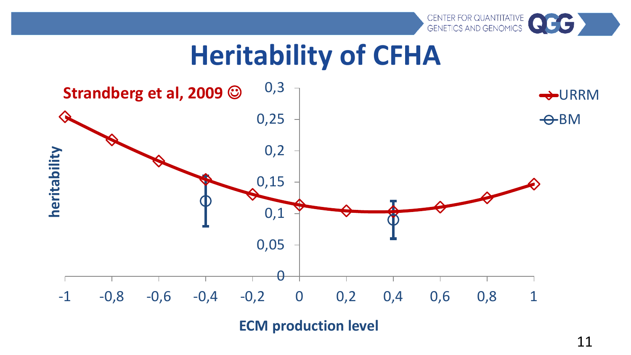### **Heritability of CFHA**



**ECM production level**

CENTER FOR QUANTITATIVE CHRISTIAN CENTER FOR QUANTITATIVE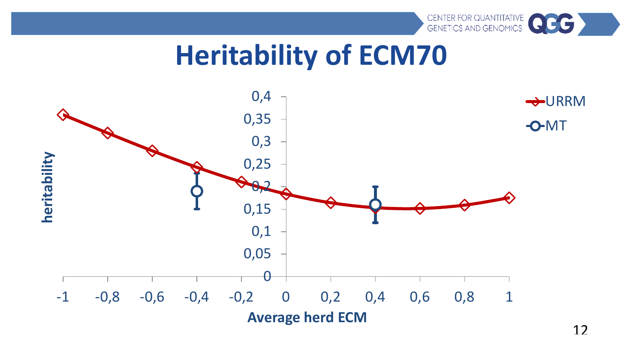

### **Heritability of ECM70**

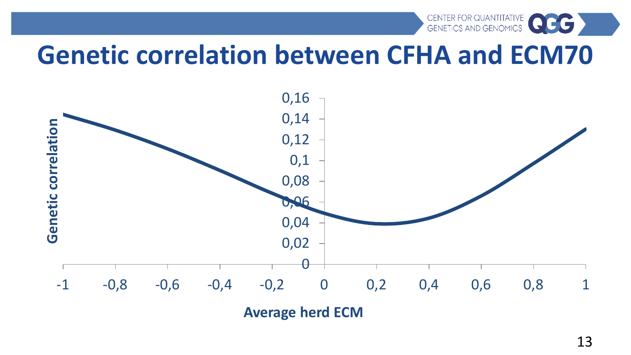



**Average herd ECM**

CENTER FOR QUANTITATIVE CHENETICS AND GENETICS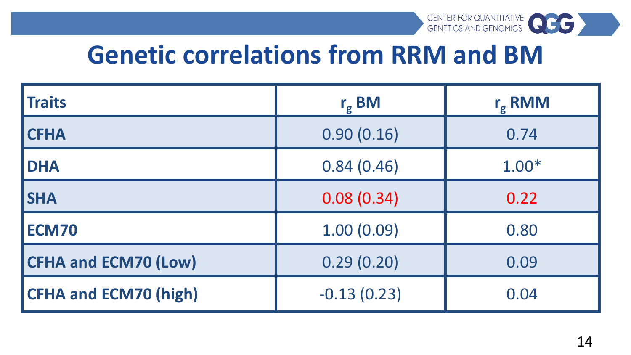

#### **Genetic correlations from RRM and BM**

| l Traits                     | $r_{g}$ BM    | $r_{g}$ RMM |
|------------------------------|---------------|-------------|
| <b>CFHA</b>                  | 0.90(0.16)    | 0.74        |
| <b>DHA</b>                   | 0.84(0.46)    | $1.00*$     |
| <b>SHA</b>                   | 0.08(0.34)    | 0.22        |
| <b>ECM70</b>                 | 1.00(0.09)    | 0.80        |
| <b>CFHA and ECM70 (Low)</b>  | 0.29(0.20)    | 0.09        |
| <b>CFHA and ECM70 (high)</b> | $-0.13(0.23)$ | 0.04        |